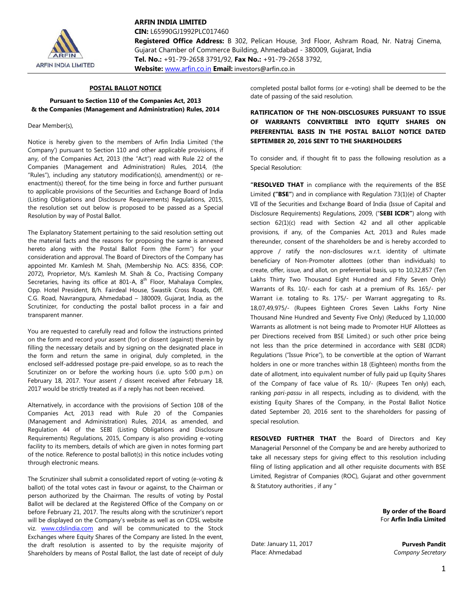

**ARFIN INDIA LIMITED**

**CIN:** L65990GJ1992PLC017460 **Registered Office Address:** B 302, Pelican House, 3rd Floor, Ashram Road, Nr. Natraj Cinema, Gujarat Chamber of Commerce Building, Ahmedabad - 380009, Gujarat, India **Tel. No.:** +91-79-2658 3791/92, **Fax No.:** +91-79-2658 3792,

**Website:** [www.arfin.co.in](http://www.arfin.co.in/) **Email:** investors@arfin.co.in

# **POSTAL BALLOT NOTICE**

### **Pursuant to Section 110 of the Companies Act, 2013 & the Companies (Management and Administration) Rules, 2014**

### Dear Member(s),

Notice is hereby given to the members of Arfin India Limited ('the Company') pursuant to Section 110 and other applicable provisions, if any, of the Companies Act, 2013 (the "Act") read with Rule 22 of the Companies (Management and Administration) Rules, 2014, (the "Rules"), including any statutory modification(s), amendment(s) or reenactment(s) thereof, for the time being in force and further pursuant to applicable provisions of the Securities and Exchange Board of India (Listing Obligations and Disclosure Requirements) Regulations, 2015, the resolution set out below is proposed to be passed as a Special Resolution by way of Postal Ballot.

The Explanatory Statement pertaining to the said resolution setting out the material facts and the reasons for proposing the same is annexed hereto along with the Postal Ballot Form (the Form") for your consideration and approval. The Board of Directors of the Company has appointed Mr. Kamlesh M. Shah, (Membership No. ACS: 8356, COP: 2072), Proprietor, M/s. Kamlesh M. Shah & Co., Practising Company Secretaries, having its office at 801-A, 8<sup>th</sup> Floor, Mahalaya Complex, Opp. Hotel President, B/h. Fairdeal House, Swastik Cross Roads, Off. C.G. Road, Navrangpura, Ahmedabad – 380009, Gujarat, India, as the Scrutinizer, for conducting the postal ballot process in a fair and transparent manner.

You are requested to carefully read and follow the instructions printed on the form and record your assent (for) or dissent (against) therein by filling the necessary details and by signing on the designated place in the form and return the same in original, duly completed, in the enclosed self-addressed postage pre-paid envelope, so as to reach the Scrutinizer on or before the working hours (i.e. upto 5:00 p.m.) on February 18, 2017. Your assent / dissent received after February 18, 2017 would be strictly treated as if a reply has not been received.

Alternatively, in accordance with the provisions of Section 108 of the Companies Act, 2013 read with Rule 20 of the Companies (Management and Administration) Rules, 2014, as amended, and Regulation 44 of the SEBI (Listing Obligations and Disclosure Requirements) Regulations, 2015, Company is also providing e-voting facility to its members, details of which are given in notes forming part of the notice. Reference to postal ballot(s) in this notice includes voting through electronic means.

The Scrutinizer shall submit a consolidated report of voting (e-voting & ballot) of the total votes cast in favour or against, to the Chairman or person authorized by the Chairman. The results of voting by Postal Ballot will be declared at the Registered Office of the Company on or before February 21, 2017. The results along with the scrutinizer's report will be displayed on the Company's website as well as on CDSL website viz. [www.cdslindia.com](http://www.cdslindia.com/) and will be communicated to the Stock Exchanges where Equity Shares of the Company are listed. In the event, the draft resolution is assented to by the requisite majority of Shareholders by means of Postal Ballot, the last date of receipt of duly completed postal ballot forms (or e-voting) shall be deemed to be the date of passing of the said resolution.

# **RATIFICATION OF THE NON-DISCLOSURES PURSUANT TO ISSUE OF WARRANTS CONVERTIBLE INTO EQUITY SHARES ON PREFERENTIAL BASIS IN THE POSTAL BALLOT NOTICE DATED SEPTEMBER 20, 2016 SENT TO THE SHAREHOLDERS**

To consider and, if thought fit to pass the following resolution as a Special Resolution:

**"RESOLVED THAT** in compliance with the requirements of the BSE Limited **("BSE"**) and in compliance with Regulation 73(1)(e) of Chapter VII of the Securities and Exchange Board of India (Issue of Capital and Disclosure Requirements) Regulations, 2009, ("**SEBI ICDR"**) along with section 62(1)(c) read with Section 42 and all other applicable provisions, if any, of the Companies Act, 2013 and Rules made thereunder, consent of the shareholders be and is hereby accorded to approve / ratify the non-disclosures w.r.t. identity of ultimate beneficiary of Non-Promoter allottees (other than individuals) to create, offer, issue, and allot, on preferential basis, up to 10,32,857 (Ten Lakhs Thirty Two Thousand Eight Hundred and Fifty Seven Only) Warrants of Rs. 10/- each for cash at a premium of Rs. 165/- per Warrant i.e. totaling to Rs. 175/- per Warrant aggregating to Rs. 18,07,49,975/- (Rupees Eighteen Crores Seven Lakhs Forty Nine Thousand Nine Hundred and Seventy Five Only) (Reduced by 1,10,000 Warrants as allotment is not being made to Promoter HUF Allottees as per Directions received from BSE Limited.) or such other price being not less than the price determined in accordance with SEBI (ICDR) Regulations ("Issue Price"), to be convertible at the option of Warrant holders in one or more tranches within 18 (Eighteen) months from the date of allotment, into equivalent number of fully paid up Equity Shares of the Company of face value of Rs. 10/- (Rupees Ten only) each, ranking *pari‐passu* in all respects, including as to dividend, with the existing Equity Shares of the Company, in the Postal Ballot Notice dated September 20, 2016 sent to the shareholders for passing of special resolution.

**RESOLVED FURTHER THAT** the Board of Directors and Key Managerial Personnel of the Company be and are hereby authorized to take all necessary steps for giving effect to this resolution including filing of listing application and all other requisite documents with BSE Limited, Registrar of Companies (ROC), Gujarat and other government & Statutory authorities , if any "

> **By order of the Board** For **Arfin India Limited**

Date: January 11, 2017 Place: Ahmedabad

**Purvesh Pandit** *Company Secretary*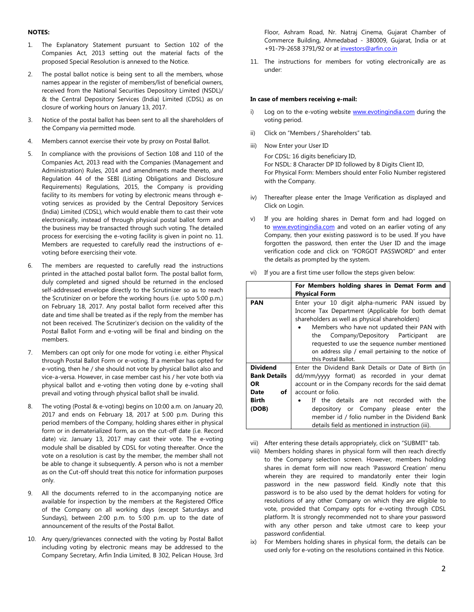### **NOTES:**

- 1. The Explanatory Statement pursuant to Section 102 of the Companies Act, 2013 setting out the material facts of the proposed Special Resolution is annexed to the Notice.
- 2. The postal ballot notice is being sent to all the members, whose names appear in the register of members/list of beneficial owners, received from the National Securities Depository Limited (NSDL)/ & the Central Depository Services (India) Limited (CDSL) as on closure of working hours on January 13, 2017.
- 3. Notice of the postal ballot has been sent to all the shareholders of the Company via permitted mode.
- 4. Members cannot exercise their vote by proxy on Postal Ballot.
- 5. In compliance with the provisions of Section 108 and 110 of the Companies Act, 2013 read with the Companies (Management and Administration) Rules, 2014 and amendments made thereto, and Regulation 44 of the SEBI (Listing Obligations and Disclosure Requirements) Regulations, 2015, the Company is providing facility to its members for voting by electronic means through evoting services as provided by the Central Depository Services (India) Limited (CDSL), which would enable them to cast their vote electronically, instead of through physical postal ballot form and the business may be transacted through such voting. The detailed process for exercising the e-voting facility is given in point no. 11. Members are requested to carefully read the instructions of evoting before exercising their vote.
- 6. The members are requested to carefully read the instructions printed in the attached postal ballot form. The postal ballot form, duly completed and signed should be returned in the enclosed self-addressed envelope directly to the Scrutinizer so as to reach the Scrutinizer on or before the working hours (i.e. upto 5:00 p.m.) on February 18, 2017. Any postal ballot form received after this date and time shall be treated as if the reply from the member has not been received. The Scrutinizer's decision on the validity of the Postal Ballot Form and e-voting will be final and binding on the members.
- 7. Members can opt only for one mode for voting i.e. either Physical through Postal Ballot Form or e-voting. If a member has opted for e-voting, then he / she should not vote by physical ballot also and vice-a-versa. However, in case member cast his / her vote both via physical ballot and e-voting then voting done by e-voting shall prevail and voting through physical ballot shall be invalid.
- 8. The voting (Postal & e-voting) begins on 10:00 a.m. on January 20, 2017 and ends on February 18, 2017 at 5:00 p.m. During this period members of the Company, holding shares either in physical form or in dematerialized form, as on the cut-off date (i.e. Record date) viz. January 13, 2017 may cast their vote. The e-voting module shall be disabled by CDSL for voting thereafter. Once the vote on a resolution is cast by the member, the member shall not be able to change it subsequently. A person who is not a member as on the Cut-off should treat this notice for information purposes only.
- 9. All the documents referred to in the accompanying notice are available for inspection by the members at the Registered Office of the Company on all working days (except Saturdays and Sundays), between 2:00 p.m. to 5:00 p.m. up to the date of announcement of the results of the Postal Ballot.
- 10. Any query/grievances connected with the voting by Postal Ballot including voting by electronic means may be addressed to the Company Secretary, Arfin India Limited, B 302, Pelican House, 3rd

Floor, Ashram Road, Nr. Natraj Cinema, Gujarat Chamber of Commerce Building, Ahmedabad - 380009, Gujarat, India or at +91-79-2658 3791/92 or at [investors@arfin.co.in](mailto:investors@arfin.co.in)

11. The instructions for members for voting electronically are as under:

#### **In case of members receiving e-mail:**

- i) Log on to the e-voting website [www.evotingindia.com](http://www.evotingindia.com/) during the voting period.
- ii) Click on "Members / Shareholders" tab.
- iii) Now Enter your User ID

For CDSL: 16 digits beneficiary ID, For NSDL: 8 Character DP ID followed by 8 Digits Client ID, For Physical Form: Members should enter Folio Number registered with the Company.

- iv) Thereafter please enter the Image Verification as displayed and Click on Login.
- v) If you are holding shares in Demat form and had logged on to [www.evotingindia.com](http://www.evotingindia.com/) and voted on an earlier voting of any Company, then your existing password is to be used. If you have forgotten the password, then enter the User ID and the image verification code and click on "FORGOT PASSWORD" and enter the details as prompted by the system.

|                     | For Members holding shares in Demat Form and         |  |  |  |  |  |  |  |  |
|---------------------|------------------------------------------------------|--|--|--|--|--|--|--|--|
|                     | <b>Physical Form</b>                                 |  |  |  |  |  |  |  |  |
| <b>PAN</b>          | Enter your 10 digit alpha-numeric PAN issued by      |  |  |  |  |  |  |  |  |
|                     | Income Tax Department (Applicable for both demat     |  |  |  |  |  |  |  |  |
|                     | shareholders as well as physical shareholders)       |  |  |  |  |  |  |  |  |
|                     | Members who have not updated their PAN with          |  |  |  |  |  |  |  |  |
|                     | the Company/Depository Participant<br>are            |  |  |  |  |  |  |  |  |
|                     | requested to use the sequence number mentioned       |  |  |  |  |  |  |  |  |
|                     | on address slip / email pertaining to the notice of  |  |  |  |  |  |  |  |  |
|                     | this Postal Ballot.                                  |  |  |  |  |  |  |  |  |
| <b>Dividend</b>     | Enter the Dividend Bank Details or Date of Birth (in |  |  |  |  |  |  |  |  |
| <b>Bank Details</b> | dd/mm/yyyy format) as recorded in your demat         |  |  |  |  |  |  |  |  |
| OR                  | account or in the Company records for the said demat |  |  |  |  |  |  |  |  |
| of<br>Date          | account or folio.                                    |  |  |  |  |  |  |  |  |
| <b>Birth</b>        | If the details are not recorded with<br>the          |  |  |  |  |  |  |  |  |
| (DOB)               | depository or Company please enter<br>the            |  |  |  |  |  |  |  |  |
|                     | member id / folio number in the Dividend Bank        |  |  |  |  |  |  |  |  |
|                     | details field as mentioned in instruction (iii).     |  |  |  |  |  |  |  |  |

vi) If you are a first time user follow the steps given below:

vii) After entering these details appropriately, click on "SUBMIT" tab.

- viii) Members holding shares in physical form will then reach directly to the Company selection screen. However, members holding shares in demat form will now reach 'Password Creation' menu wherein they are required to mandatorily enter their login password in the new password field. Kindly note that this password is to be also used by the demat holders for voting for resolutions of any other Company on which they are eligible to vote, provided that Company opts for e-voting through CDSL platform. It is strongly recommended not to share your password with any other person and take utmost care to keep your password confidential.
- ix) For Members holding shares in physical form, the details can be used only for e-voting on the resolutions contained in this Notice.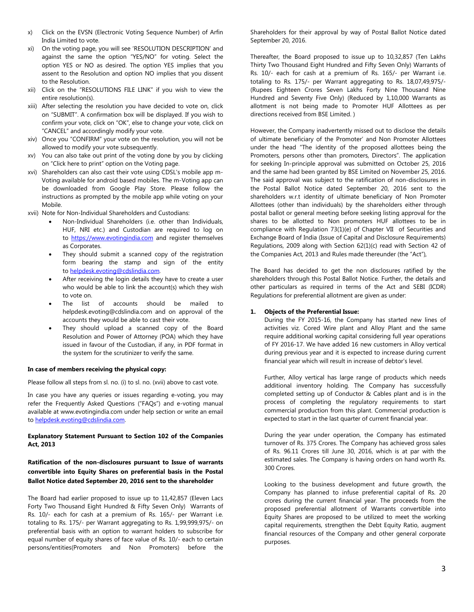- x) Click on the EVSN (Electronic Voting Sequence Number) of Arfin India Limited to vote.
- xi) On the voting page, you will see 'RESOLUTION DESCRIPTION' and against the same the option "YES/NO" for voting. Select the option YES or NO as desired. The option YES implies that you assent to the Resolution and option NO implies that you dissent to the Resolution.
- xii) Click on the "RESOLUTIONS FILE LINK" if you wish to view the entire resolution(s).
- xiii) After selecting the resolution you have decided to vote on, click on "SUBMIT". A confirmation box will be displayed. If you wish to confirm your vote, click on "OK", else to change your vote, click on "CANCEL" and accordingly modify your vote.
- xiv) Once you "CONFIRM" your vote on the resolution, you will not be allowed to modify your vote subsequently.
- xv) You can also take out print of the voting done by you by clicking on "Click here to print" option on the Voting page.
- xvi) Shareholders can also cast their vote using CDSL's mobile app m-Voting available for android based mobiles. The m-Voting app can be downloaded from Google Play Store. Please follow the instructions as prompted by the mobile app while voting on your Mobile.
- xvii) Note for Non-Individual Shareholders and Custodians:
	- Non-Individual Shareholders (i.e. other than Individuals, HUF, NRI etc.) and Custodian are required to log on to [https://www.evotingindia.com](https://www.evotingindia.com/) and register themselves as Corporates.
	- They should submit a scanned copy of the registration form bearing the stamp and sign of the entity to [helpdesk.evoting@cdslindia.com.](mailto:helpdesk.evoting@cdslindia.com)
	- After receiving the login details they have to create a user who would be able to link the account(s) which they wish to vote on.
	- The list of accounts should be mailed to helpdesk.evoting@cdslindia.com and on approval of the accounts they would be able to cast their vote.
	- They should upload a scanned copy of the Board Resolution and Power of Attorney (POA) which they have issued in favour of the Custodian, if any, in PDF format in the system for the scrutinizer to verify the same.

### **In case of members receiving the physical copy:**

Please follow all steps from sl. no. (i) to sl. no. (xvii) above to cast vote.

In case you have any queries or issues regarding e-voting, you may refer the Frequently Asked Questions ("FAQs") and e-voting manual available at www.evotingindia.com under help section or write an email t[o helpdesk.evoting@cdslindia.com.](mailto:helpdesk.evoting@cdslindia.com) 

### **Explanatory Statement Pursuant to Section 102 of the Companies Act, 2013**

# **Ratification of the non-disclosures pursuant to Issue of warrants convertible into Equity Shares on preferential basis in the Postal Ballot Notice dated September 20, 2016 sent to the shareholder**

The Board had earlier proposed to issue up to 11,42,857 (Eleven Lacs Forty Two Thousand Eight Hundred & Fifty Seven Only) Warrants of Rs. 10/- each for cash at a premium of Rs. 165/- per Warrant i.e. totaling to Rs. 175/- per Warrant aggregating to Rs. 1,99,999,975/- on preferential basis with an option to warrant holders to subscribe for equal number of equity shares of face value of Rs. 10/- each to certain persons/entities(Promoters and Non Promoters) before the

Shareholders for their approval by way of Postal Ballot Notice dated September 20, 2016.

Thereafter, the Board proposed to issue up to 10,32,857 (Ten Lakhs Thirty Two Thousand Eight Hundred and Fifty Seven Only) Warrants of Rs. 10/- each for cash at a premium of Rs. 165/- per Warrant i.e. totaling to Rs. 175/- per Warrant aggregating to Rs. 18,07,49,975/- (Rupees Eighteen Crores Seven Lakhs Forty Nine Thousand Nine Hundred and Seventy Five Only) (Reduced by 1,10,000 Warrants as allotment is not being made to Promoter HUF Allottees as per directions received from BSE Limited. )

However, the Company inadvertently missed out to disclose the details of ultimate beneficiary of the Promoter' and Non Promoter Allottees under the head "The identity of the proposed allottees being the Promoters, persons other than promoters, Directors". The application for seeking In-principle approval was submitted on October 25, 2016 and the same had been granted by BSE Limited on November 25, 2016. The said approval was subject to the ratification of non-disclosures in the Postal Ballot Notice dated September 20, 2016 sent to the shareholders w.r.t identity of ultimate beneficiary of Non Promoter Allottees (other than individuals) by the shareholders either through postal ballot or general meeting before seeking listing approval for the shares to be allotted to Non promoters HUF allottees to be in compliance with Regulation 73(1)(e) of Chapter VII of Securities and Exchange Board of India (Issue of Capital and Disclosure Requirements) Regulations, 2009 along with Section 62(1)(c) read with Section 42 of the Companies Act, 2013 and Rules made thereunder (the "Act"),

The Board has decided to get the non disclosures ratified by the shareholders through this Postal Ballot Notice. Further, the details and other particulars as required in terms of the Act and SEBI (ICDR) Regulations for preferential allotment are given as under:

## **1. Objects of the Preferential Issue:**

During the FY 2015-16, the Company has started new lines of activities viz. Cored Wire plant and Alloy Plant and the same require additional working capital considering full year operations of FY 2016-17. We have added 16 new customers in Alloy vertical during previous year and it is expected to increase during current financial year which will result in increase of debtor's level.

Further, Alloy vertical has large range of products which needs additional inventory holding. The Company has successfully completed setting up of Conductor & Cables plant and is in the process of completing the regulatory requirements to start commercial production from this plant. Commercial production is expected to start in the last quarter of current financial year.

During the year under operation, the Company has estimated turnover of Rs. 375 Crores. The Company has achieved gross sales of Rs. 96.11 Crores till June 30, 2016, which is at par with the estimated sales. The Company is having orders on hand worth Rs. 300 Crores.

Looking to the business development and future growth, the Company has planned to infuse preferential capital of Rs. 20 crores during the current financial year. The proceeds from the proposed preferential allotment of Warrants convertible into Equity Shares are proposed to be utilized to meet the working capital requirements, strengthen the Debt Equity Ratio, augment financial resources of the Company and other general corporate purposes.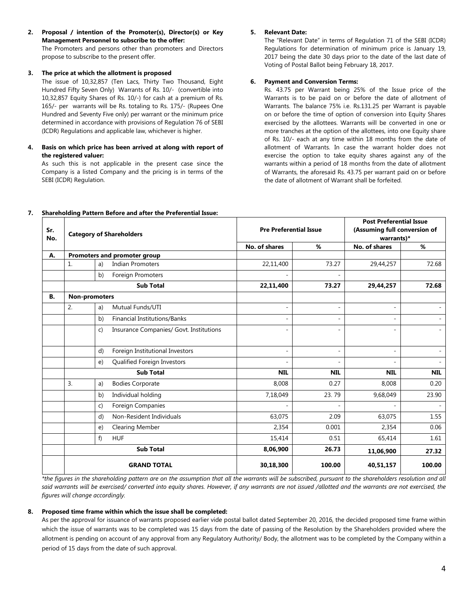**2. Proposal / intention of the Promoter(s), Director(s) or Key Management Personnel to subscribe to the offer:**

The Promoters and persons other than promoters and Directors propose to subscribe to the present offer.

### **3. The price at which the allotment is proposed**

The issue of 10,32,857 (Ten Lacs, Thirty Two Thousand, Eight Hundred Fifty Seven Only) Warrants of Rs. 10/- (convertible into 10,32,857 Equity Shares of Rs. 10/-) for cash at a premium of Rs. 165/- per warrants will be Rs. totaling to Rs. 175/- (Rupees One Hundred and Seventy Five only) per warrant or the minimum price determined in accordance with provisions of Regulation 76 of SEBI (ICDR) Regulations and applicable law, whichever is higher.

# **4. Basis on which price has been arrived at along with report of the registered valuer:**

As such this is not applicable in the present case since the Company is a listed Company and the pricing is in terms of the SEBI (ICDR) Regulation.

# **5. Relevant Date:**

The "Relevant Date" in terms of Regulation 71 of the SEBI (ICDR) Regulations for determination of minimum price is January 19, 2017 being the date 30 days prior to the date of the last date of Voting of Postal Ballot being February 18, 2017.

# **6. Payment and Conversion Terms:**

Rs. 43.75 per Warrant being 25% of the Issue price of the Warrants is to be paid on or before the date of allotment of Warrants. The balance 75% i.e. Rs.131.25 per Warrant is payable on or before the time of option of conversion into Equity Shares exercised by the allottees. Warrants will be converted in one or more tranches at the option of the allottees, into one Equity share of Rs. 10/- each at any time within 18 months from the date of allotment of Warrants. In case the warrant holder does not exercise the option to take equity shares against any of the warrants within a period of 18 months from the date of allotment of Warrants, the aforesaid Rs. 43.75 per warrant paid on or before the date of allotment of Warrant shall be forfeited.

| Sr.<br>No. | <b>Category of Shareholders</b> |                                         | <b>Pre Preferential Issue</b> |            | <b>Post Preferential Issue</b><br>(Assuming full conversion of<br>warrants)* |            |  |
|------------|---------------------------------|-----------------------------------------|-------------------------------|------------|------------------------------------------------------------------------------|------------|--|
|            |                                 |                                         | No. of shares                 | %          | No. of shares                                                                | %          |  |
| А.         | Promoters and promoter group    |                                         |                               |            |                                                                              |            |  |
|            | 1.<br>a)                        | <b>Indian Promoters</b>                 | 22,11,400                     | 73.27      | 29,44,257                                                                    | 72.68      |  |
|            | b)                              | Foreign Promoters                       |                               |            |                                                                              |            |  |
|            |                                 | <b>Sub Total</b>                        | 22,11,400                     | 73.27      | 29,44,257                                                                    | 72.68      |  |
| <b>B.</b>  | Non-promoters                   |                                         |                               |            |                                                                              |            |  |
|            | 2.<br>a)                        | Mutual Funds/UTI                        |                               | ÷,         | $\overline{a}$                                                               |            |  |
|            | b)                              | <b>Financial Institutions/Banks</b>     |                               | ÷,         | ÷,                                                                           |            |  |
|            | $\mathsf{C}$                    | Insurance Companies/ Govt. Institutions |                               | ۰          |                                                                              |            |  |
|            | d)                              | Foreign Institutional Investors         |                               | ÷,         | ٠                                                                            |            |  |
|            | $\epsilon$                      | Qualified Foreign Investors             |                               |            |                                                                              |            |  |
|            |                                 | <b>Sub Total</b>                        | <b>NIL</b>                    | <b>NIL</b> | <b>NIL</b>                                                                   | <b>NIL</b> |  |
|            | 3.<br>a)                        | <b>Bodies Corporate</b>                 | 8,008                         | 0.27       | 8,008                                                                        | 0.20       |  |
|            | b)                              | Individual holding                      | 7,18,049                      | 23.79      | 9,68,049                                                                     | 23.90      |  |
|            | $\mathsf{C}$                    | Foreign Companies                       |                               |            |                                                                              |            |  |
|            | d)                              | Non-Resident Individuals                | 63,075                        | 2.09       | 63,075                                                                       | 1.55       |  |
|            | $\epsilon$                      | Clearing Member                         | 2,354                         | 0.001      | 2,354                                                                        | 0.06       |  |
|            | f                               | <b>HUF</b>                              | 15,414                        | 0.51       | 65,414                                                                       | 1.61       |  |
|            | <b>Sub Total</b>                |                                         | 8,06,900                      | 26.73      | 11,06,900                                                                    | 27.32      |  |
|            |                                 | <b>GRAND TOTAL</b>                      | 30,18,300                     | 100.00     | 40,51,157                                                                    | 100.00     |  |

**7. Shareholding Pattern Before and after the Preferential Issue:**

*\*the figures in the shareholding pattern are on the assumption that all the warrants will be subscribed, pursuant to the shareholders resolution and all said warrants will be exercised/ converted into equity shares. However, if any warrants are not issued /allotted and the warrants are not exercised, the figures will change accordingly.*

## **8. Proposed time frame within which the issue shall be completed:**

As per the approval for issuance of warrants proposed earlier vide postal ballot dated September 20, 2016, the decided proposed time frame within which the issue of warrants was to be completed was 15 days from the date of passing of the Resolution by the Shareholders provided where the allotment is pending on account of any approval from any Regulatory Authority/ Body, the allotment was to be completed by the Company within a period of 15 days from the date of such approval.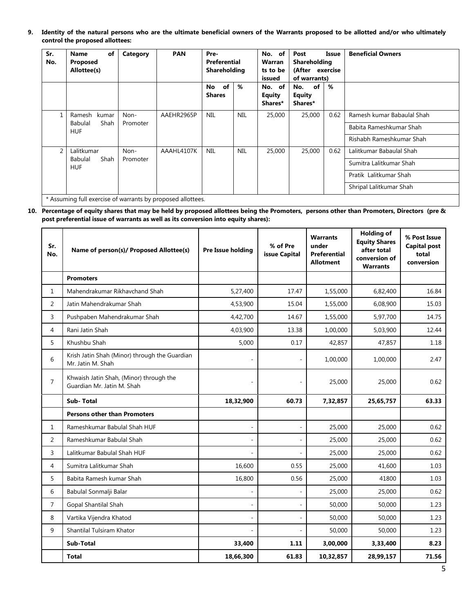**9. Identity of the natural persons who are the ultimate beneficial owners of the Warrants proposed to be allotted and/or who ultimately control the proposed allottees:**

| Sr.<br>No.                                                  | of<br><b>Name</b><br>Proposed<br>Allottee(s) | Category | <b>PAN</b> | Pre-<br>Preferential<br>Shareholding |            | No. of<br>Warran<br>ts to be<br>issued | Post<br>Issue<br><b>Shareholding</b><br>(After exercise<br>of warrants) |      | <b>Beneficial Owners</b>   |  |                         |  |  |  |  |  |  |  |  |  |  |  |                         |
|-------------------------------------------------------------|----------------------------------------------|----------|------------|--------------------------------------|------------|----------------------------------------|-------------------------------------------------------------------------|------|----------------------------|--|-------------------------|--|--|--|--|--|--|--|--|--|--|--|-------------------------|
|                                                             |                                              |          |            | of<br><b>No</b><br><b>Shares</b>     | %          | No. of<br><b>Equity</b><br>Shares*     | No.<br>of<br><b>Equity</b><br>Shares*                                   | %    |                            |  |                         |  |  |  |  |  |  |  |  |  |  |  |                         |
|                                                             | Ramesh<br>kumar                              | Non-     | AAEHR2965P | <b>NIL</b>                           | <b>NIL</b> | 25,000                                 | 25,000                                                                  | 0.62 | Ramesh kumar Babaulal Shah |  |                         |  |  |  |  |  |  |  |  |  |  |  |                         |
|                                                             | <b>Babulal</b><br>Shah<br><b>HUF</b>         | Promoter |            |                                      |            |                                        |                                                                         |      |                            |  |                         |  |  |  |  |  |  |  |  |  |  |  | Babita Rameshkumar Shah |
|                                                             |                                              |          |            |                                      |            |                                        |                                                                         |      | Rishabh Rameshkumar Shah   |  |                         |  |  |  |  |  |  |  |  |  |  |  |                         |
| $\mathfrak{D}$                                              | Lalitkumar                                   | Non-     | AAAHL4107K | <b>NIL</b>                           | <b>NIL</b> | 25,000                                 | 25,000                                                                  | 0.62 | Lalitkumar Babaulal Shah   |  |                         |  |  |  |  |  |  |  |  |  |  |  |                         |
|                                                             | Shah<br>Babulal<br><b>HUF</b>                | Promoter |            |                                      |            |                                        |                                                                         |      |                            |  | Sumitra Lalitkumar Shah |  |  |  |  |  |  |  |  |  |  |  |                         |
|                                                             |                                              |          |            |                                      |            |                                        |                                                                         |      |                            |  | Pratik Lalitkumar Shah  |  |  |  |  |  |  |  |  |  |  |  |                         |
|                                                             |                                              |          |            |                                      |            |                                        |                                                                         |      | Shripal Lalitkumar Shah    |  |                         |  |  |  |  |  |  |  |  |  |  |  |                         |
| * Assuming full exercise of warrants by proposed allottees. |                                              |          |            |                                      |            |                                        |                                                                         |      |                            |  |                         |  |  |  |  |  |  |  |  |  |  |  |                         |

**10. Percentage of equity shares that may be held by proposed allottees being the Promoters, persons other than Promoters, Directors (pre & post preferential issue of warrants as well as its conversion into equity shares):**

| Sr.<br>No.     | Name of person(s)/ Proposed Allottee(s)                               | Pre Issue holding | % of Pre<br>issue Capital | <b>Warrants</b><br>under<br>Preferential<br><b>Allotment</b> | <b>Holding of</b><br><b>Equity Shares</b><br>after total<br>conversion of<br><b>Warrants</b> | % Post Issue<br><b>Capital post</b><br>total<br>conversion |
|----------------|-----------------------------------------------------------------------|-------------------|---------------------------|--------------------------------------------------------------|----------------------------------------------------------------------------------------------|------------------------------------------------------------|
|                | <b>Promoters</b>                                                      |                   |                           |                                                              |                                                                                              |                                                            |
| $\mathbf{1}$   | Mahendrakumar Rikhavchand Shah                                        | 5,27,400          | 17.47                     | 1,55,000                                                     | 6,82,400                                                                                     | 16.84                                                      |
| $\overline{2}$ | Jatin Mahendrakumar Shah                                              | 4,53,900          | 15.04                     | 1,55,000                                                     | 6,08,900                                                                                     | 15.03                                                      |
| 3              | Pushpaben Mahendrakumar Shah                                          | 4,42,700          | 14.67                     | 1,55,000                                                     | 5,97,700                                                                                     | 14.75                                                      |
| 4              | Rani Jatin Shah                                                       | 4,03,900          | 13.38                     | 1,00,000                                                     | 5,03,900                                                                                     | 12.44                                                      |
| 5              | Khushbu Shah                                                          | 5,000             | 0.17                      | 42,857                                                       | 47,857                                                                                       | 1.18                                                       |
| 6              | Krish Jatin Shah (Minor) through the Guardian<br>Mr. Jatin M. Shah    |                   | ÷,                        | 1,00,000                                                     | 1,00,000                                                                                     | 2.47                                                       |
| $\overline{7}$ | Khwaish Jatin Shah, (Minor) through the<br>Guardian Mr. Jatin M. Shah | ٠                 |                           | 25,000                                                       | 25,000                                                                                       | 0.62                                                       |
|                | <b>Sub-Total</b>                                                      | 18,32,900         | 60.73                     | 7,32,857                                                     | 25,65,757                                                                                    | 63.33                                                      |
|                | <b>Persons other than Promoters</b>                                   |                   |                           |                                                              |                                                                                              |                                                            |
| $\mathbf{1}$   | Rameshkumar Babulal Shah HUF                                          | ÷,                | ÷,                        | 25,000                                                       | 25,000                                                                                       | 0.62                                                       |
| $\overline{2}$ | Rameshkumar Babulal Shah                                              |                   |                           | 25,000                                                       | 25,000                                                                                       | 0.62                                                       |
| 3              | Lalitkumar Babulal Shah HUF                                           |                   |                           | 25,000                                                       | 25,000                                                                                       | 0.62                                                       |
| 4              | Sumitra Lalitkumar Shah                                               | 16,600            | 0.55                      | 25,000                                                       | 41,600                                                                                       | 1.03                                                       |
| 5              | Babita Ramesh kumar Shah                                              | 16,800            | 0.56                      | 25,000                                                       | 41800                                                                                        | 1.03                                                       |
| 6              | Babulal Sonmalji Balar                                                |                   |                           | 25,000                                                       | 25,000                                                                                       | 0.62                                                       |
| $\overline{7}$ | Gopal Shantilal Shah                                                  |                   |                           | 50,000                                                       | 50,000                                                                                       | 1.23                                                       |
| 8              | Vartika Vijendra Khatod                                               |                   | $\bar{a}$                 | 50,000                                                       | 50,000                                                                                       | 1.23                                                       |
| 9              | Shantilal Tulsiram Khator                                             |                   |                           | 50,000                                                       | 50,000                                                                                       | 1.23                                                       |
|                | Sub-Total                                                             | 33,400            | 1.11                      | 3,00,000                                                     | 3,33,400                                                                                     | 8.23                                                       |
|                | <b>Total</b>                                                          | 18,66,300         | 61.83                     | 10,32,857                                                    | 28,99,157                                                                                    | 71.56                                                      |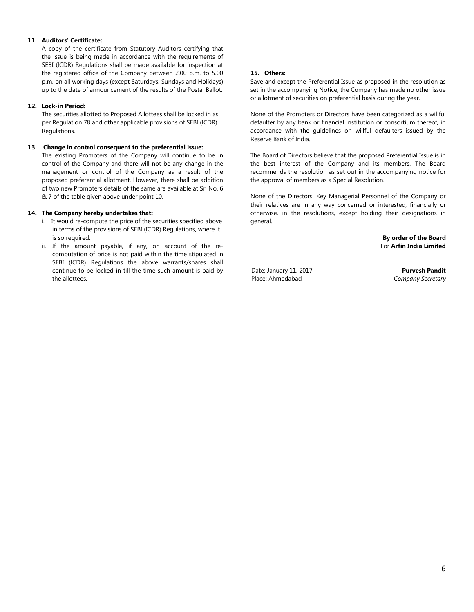### **11. Auditors' Certificate:**

A copy of the certificate from Statutory Auditors certifying that the issue is being made in accordance with the requirements of SEBI (ICDR) Regulations shall be made available for inspection at the registered office of the Company between 2.00 p.m. to 5.00 p.m. on all working days (except Saturdays, Sundays and Holidays) up to the date of announcement of the results of the Postal Ballot.

### **12. Lock-in Period:**

The securities allotted to Proposed Allottees shall be locked in as per Regulation 78 and other applicable provisions of SEBI (ICDR) Regulations.

#### **13. Change in control consequent to the preferential issue:**

The existing Promoters of the Company will continue to be in control of the Company and there will not be any change in the management or control of the Company as a result of the proposed preferential allotment. However, there shall be addition of two new Promoters details of the same are available at Sr. No. 6 & 7 of the table given above under point 10.

#### **14. The Company hereby undertakes that:**

- i. It would re-compute the price of the securities specified above in terms of the provisions of SEBI (ICDR) Regulations, where it is so required.
- ii. If the amount payable, if any, on account of the recomputation of price is not paid within the time stipulated in SEBI (ICDR) Regulations the above warrants/shares shall continue to be locked-in till the time such amount is paid by the allottees.

#### **15. Others:**

Save and except the Preferential Issue as proposed in the resolution as set in the accompanying Notice, the Company has made no other issue or allotment of securities on preferential basis during the year.

None of the Promoters or Directors have been categorized as a willful defaulter by any bank or financial institution or consortium thereof, in accordance with the guidelines on willful defaulters issued by the Reserve Bank of India.

The Board of Directors believe that the proposed Preferential Issue is in the best interest of the Company and its members. The Board recommends the resolution as set out in the accompanying notice for the approval of members as a Special Resolution.

None of the Directors, Key Managerial Personnel of the Company or their relatives are in any way concerned or interested, financially or otherwise, in the resolutions, except holding their designations in general.

> **By order of the Board** For **Arfin India Limited**

Date: January 11, 2017 Place: Ahmedabad

**Purvesh Pandit** *Company Secretary*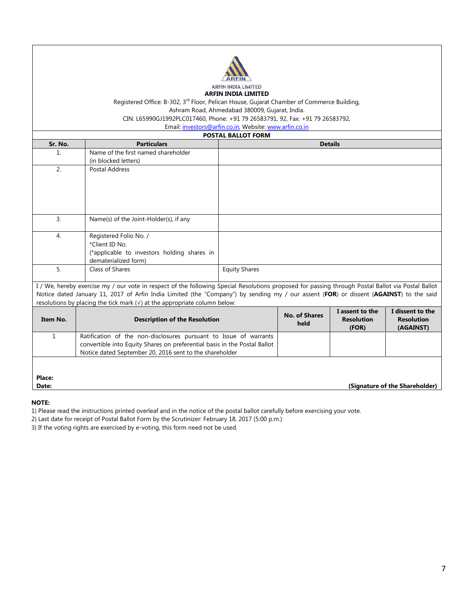

Registered Office: B-302, 3<sup>rd</sup> Floor, Pelican House, Gujarat Chamber of Commerce Building, Ashram Road, Ahmedabad 380009, Gujarat, India.

CIN: L65990GJ1992PLC017460, Phone: +91 79 26583791, 92, Fax: +91 79 26583792,

Email: [investors@arfin.co.in,](mailto:investors@arfin.co.in) Website[: www.arfin.co.in](http://www.arfin.co.in/)

| <b>POSTAL BALLOT FORM</b>                                                                                                              |                                                                                                                                                    |  |                      |                            |                                |  |  |
|----------------------------------------------------------------------------------------------------------------------------------------|----------------------------------------------------------------------------------------------------------------------------------------------------|--|----------------------|----------------------------|--------------------------------|--|--|
| Sr. No.                                                                                                                                | <b>Particulars</b>                                                                                                                                 |  |                      | <b>Details</b>             |                                |  |  |
| 1.                                                                                                                                     | Name of the first named shareholder                                                                                                                |  |                      |                            |                                |  |  |
|                                                                                                                                        | (in blocked letters)                                                                                                                               |  |                      |                            |                                |  |  |
| 2.                                                                                                                                     | Postal Address                                                                                                                                     |  |                      |                            |                                |  |  |
|                                                                                                                                        |                                                                                                                                                    |  |                      |                            |                                |  |  |
|                                                                                                                                        |                                                                                                                                                    |  |                      |                            |                                |  |  |
|                                                                                                                                        |                                                                                                                                                    |  |                      |                            |                                |  |  |
|                                                                                                                                        |                                                                                                                                                    |  |                      |                            |                                |  |  |
| $\overline{3}$ .                                                                                                                       | Name(s) of the Joint-Holder(s), if any                                                                                                             |  |                      |                            |                                |  |  |
|                                                                                                                                        |                                                                                                                                                    |  |                      |                            |                                |  |  |
| 4.                                                                                                                                     | Registered Folio No. /                                                                                                                             |  |                      |                            |                                |  |  |
|                                                                                                                                        | *Client ID No.                                                                                                                                     |  |                      |                            |                                |  |  |
|                                                                                                                                        | (*applicable to investors holding shares in                                                                                                        |  |                      |                            |                                |  |  |
|                                                                                                                                        | dematerialized form)                                                                                                                               |  |                      |                            |                                |  |  |
| 5.                                                                                                                                     | Class of Shares                                                                                                                                    |  |                      |                            |                                |  |  |
|                                                                                                                                        |                                                                                                                                                    |  |                      |                            |                                |  |  |
|                                                                                                                                        | I / We, hereby exercise my / our vote in respect of the following Special Resolutions proposed for passing through Postal Ballot via Postal Ballot |  |                      |                            |                                |  |  |
| Notice dated January 11, 2017 of Arfin India Limited (the "Company") by sending my / our assent (FOR) or dissent (AGAINST) to the said |                                                                                                                                                    |  |                      |                            |                                |  |  |
| resolutions by placing the tick mark $(\sqrt{})$ at the appropriate column below:                                                      |                                                                                                                                                    |  |                      |                            |                                |  |  |
| Item No.                                                                                                                               |                                                                                                                                                    |  | <b>No. of Shares</b> | I assent to the            | I dissent to the               |  |  |
|                                                                                                                                        | <b>Description of the Resolution</b>                                                                                                               |  | held                 | <b>Resolution</b><br>(FOR) | <b>Resolution</b><br>(AGAINST) |  |  |
| 1                                                                                                                                      | Ratification of the non-disclosures pursuant to Issue of warrants                                                                                  |  |                      |                            |                                |  |  |
|                                                                                                                                        | convertible into Equity Shares on preferential basis in the Postal Ballot                                                                          |  |                      |                            |                                |  |  |
|                                                                                                                                        | Notice dated September 20, 2016 sent to the shareholder                                                                                            |  |                      |                            |                                |  |  |
|                                                                                                                                        |                                                                                                                                                    |  |                      |                            |                                |  |  |
|                                                                                                                                        |                                                                                                                                                    |  |                      |                            |                                |  |  |
| Place:                                                                                                                                 |                                                                                                                                                    |  |                      |                            |                                |  |  |
| Date:                                                                                                                                  |                                                                                                                                                    |  |                      |                            | (Signature of the Shareholder) |  |  |

# **NOTE:**

1) Please read the instructions printed overleaf and in the notice of the postal ballot carefully before exercising your vote.

2) Last date for receipt of Postal Ballot Form by the Scrutinizer: February 18, 2017 (5:00 p.m.)

3) If the voting rights are exercised by e-voting, this form need not be used.